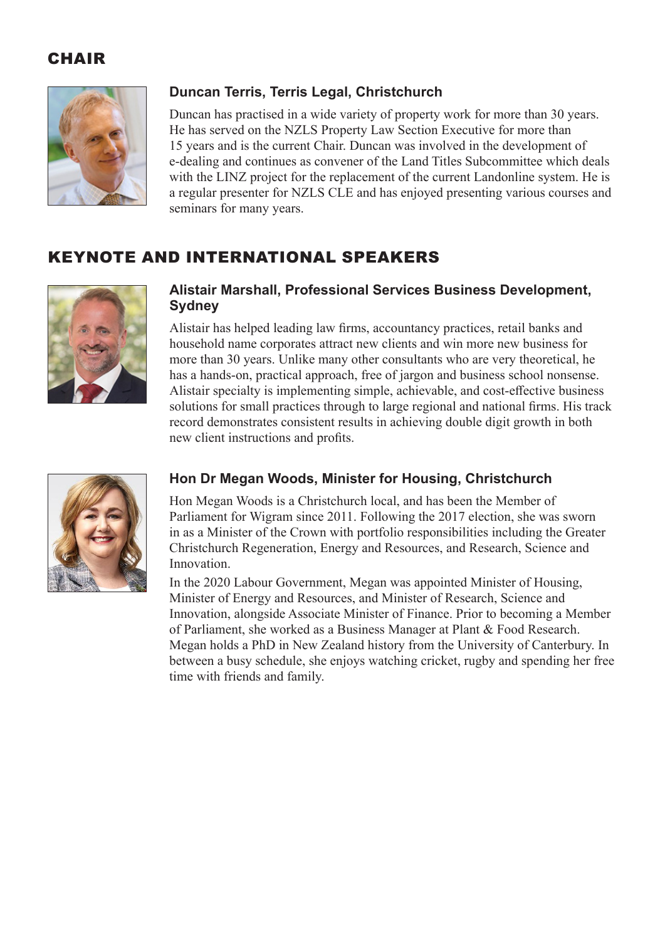## CHAIR



## **Duncan Terris, Terris Legal, Christchurch**

Duncan has practised in a wide variety of property work for more than 30 years. He has served on the NZLS Property Law Section Executive for more than 15 years and is the current Chair. Duncan was involved in the development of e-dealing and continues as convener of the Land Titles Subcommittee which deals with the LINZ project for the replacement of the current Landonline system. He is a regular presenter for NZLS CLE and has enjoyed presenting various courses and seminars for many years.

# KEYNOTE AND INTERNATIONAL SPEAKERS



#### **Alistair Marshall, Professional Services Business Development, Sydney**

Alistair has helped leading law firms, accountancy practices, retail banks and household name corporates attract new clients and win more new business for more than 30 years. Unlike many other consultants who are very theoretical, he has a hands-on, practical approach, free of jargon and business school nonsense. Alistair specialty is implementing simple, achievable, and cost-effective business solutions for small practices through to large regional and national firms. His track record demonstrates consistent results in achieving double digit growth in both new client instructions and profits.



## **Hon Dr Megan Woods, Minister for Housing, Christchurch**

Hon Megan Woods is a Christchurch local, and has been the Member of Parliament for Wigram since 2011. Following the 2017 election, she was sworn in as a Minister of the Crown with portfolio responsibilities including the Greater Christchurch Regeneration, Energy and Resources, and Research, Science and Innovation.

In the 2020 Labour Government, Megan was appointed Minister of Housing, Minister of Energy and Resources, and Minister of Research, Science and Innovation, alongside Associate Minister of Finance. Prior to becoming a Member of Parliament, she worked as a Business Manager at Plant & Food Research. Megan holds a PhD in New Zealand history from the University of Canterbury. In between a busy schedule, she enjoys watching cricket, rugby and spending her free time with friends and family.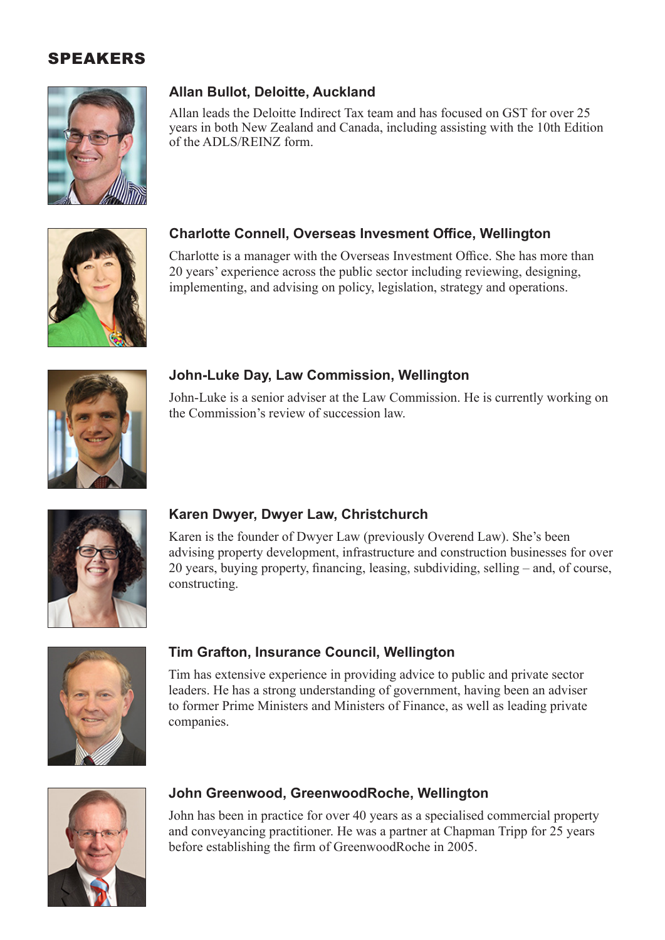

## **Allan Bullot, Deloitte, Auckland**

Allan leads the Deloitte Indirect Tax team and has focused on GST for over 25 years in both New Zealand and Canada, including assisting with the 10th Edition of the ADLS/REINZ form.



#### **Charlotte Connell, Overseas Invesment Office, Wellington**

Charlotte is a manager with the Overseas Investment Office. She has more than 20 years' experience across the public sector including reviewing, designing, implementing, and advising on policy, legislation, strategy and operations.



#### **John-Luke Day, Law Commission, Wellington**

John-Luke is a senior adviser at the Law Commission. He is currently working on the Commission's review of succession law.



#### **Karen Dwyer, Dwyer Law, Christchurch**

Karen is the founder of Dwyer Law (previously Overend Law). She's been advising property development, infrastructure and construction businesses for over 20 years, buying property, financing, leasing, subdividing, selling – and, of course, constructing.



#### **Tim Grafton, Insurance Council, Wellington**

Tim has extensive experience in providing advice to public and private sector leaders. He has a strong understanding of government, having been an adviser to former Prime Ministers and Ministers of Finance, as well as leading private companies.



#### **John Greenwood, GreenwoodRoche, Wellington**

John has been in practice for over 40 years as a specialised commercial property and conveyancing practitioner. He was a partner at Chapman Tripp for 25 years before establishing the firm of GreenwoodRoche in 2005.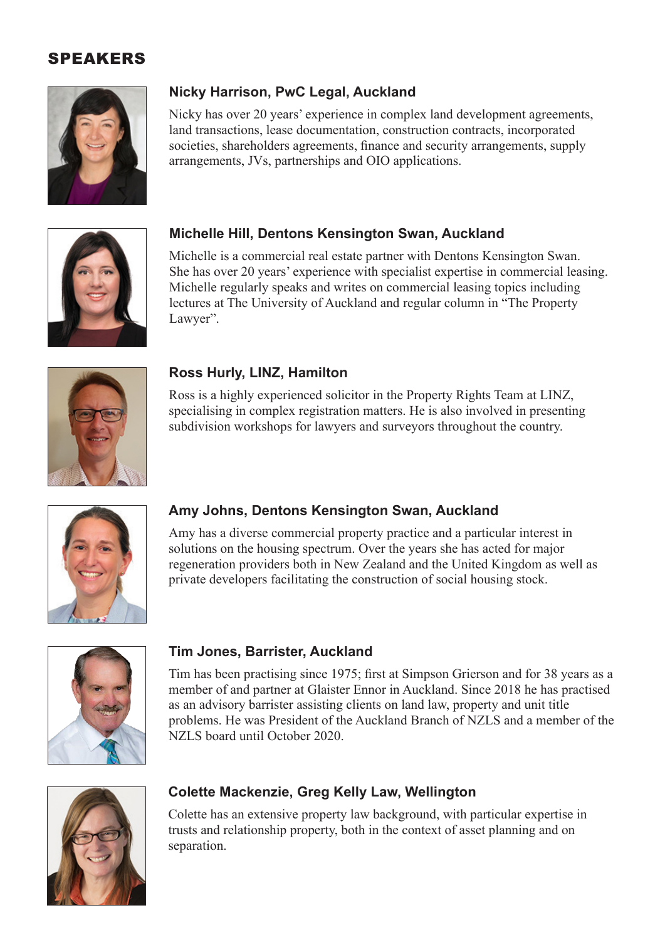

## **Nicky Harrison, PwC Legal, Auckland**

Nicky has over 20 years' experience in complex land development agreements, land transactions, lease documentation, construction contracts, incorporated societies, shareholders agreements, finance and security arrangements, supply arrangements, JVs, partnerships and OIO applications.



### **Michelle Hill, Dentons Kensington Swan, Auckland**

Michelle is a commercial real estate partner with Dentons Kensington Swan. She has over 20 years' experience with specialist expertise in commercial leasing. Michelle regularly speaks and writes on commercial leasing topics including lectures at The University of Auckland and regular column in "The Property Lawyer".



#### **Ross Hurly, LINZ, Hamilton**

Ross is a highly experienced solicitor in the Property Rights Team at LINZ, specialising in complex registration matters. He is also involved in presenting subdivision workshops for lawyers and surveyors throughout the country.



## **Amy Johns, Dentons Kensington Swan, Auckland**

Amy has a diverse commercial property practice and a particular interest in solutions on the housing spectrum. Over the years she has acted for major regeneration providers both in New Zealand and the United Kingdom as well as private developers facilitating the construction of social housing stock.



#### **Tim Jones, Barrister, Auckland**

Tim has been practising since 1975; first at Simpson Grierson and for 38 years as a member of and partner at Glaister Ennor in Auckland. Since 2018 he has practised as an advisory barrister assisting clients on land law, property and unit title problems. He was President of the Auckland Branch of NZLS and a member of the NZLS board until October 2020.



#### **Colette Mackenzie, Greg Kelly Law, Wellington**

Colette has an extensive property law background, with particular expertise in trusts and relationship property, both in the context of asset planning and on separation.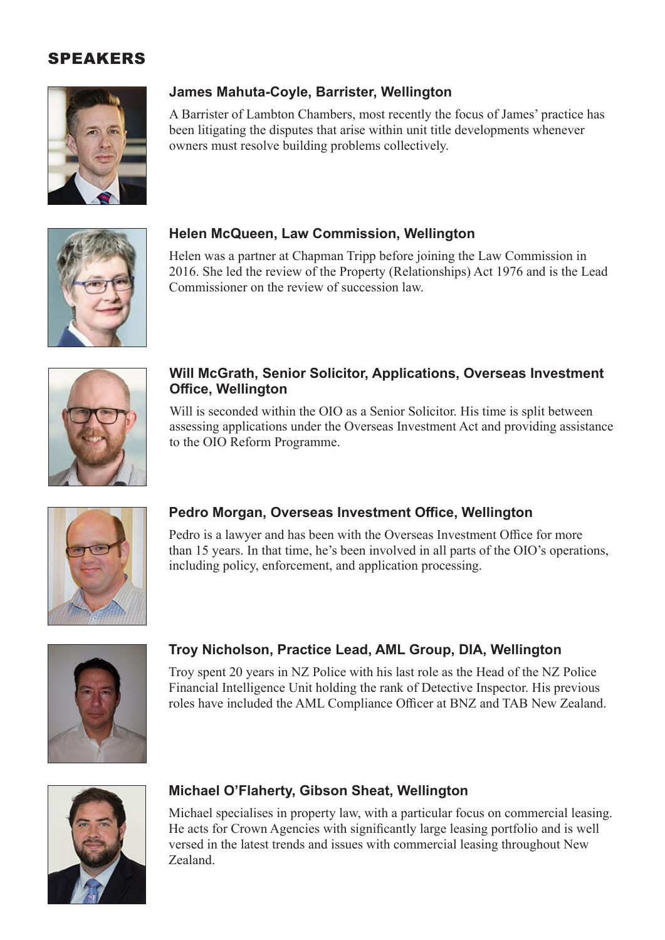

## **James Mahuta-Coyle, Barrister, Wellington**

A Barrister of Lambton Chambers, most recently the focus of James' practice has been litigating the disputes that arise within unit title developments whenever owners must resolve building problems collectively.



#### **Helen McQueen, Law Commission, Wellington**

Helen was a partner at Chapman Tripp before joining the Law Commission in 2016. She led the review of the Property (Relationships) Act 1976 and is the Lead Commissioner on the review of succession law.



#### **Will McGrath, Senior Solicitor, Applications, Overseas Investment Office, Wellington**

Will is seconded within the OIO as a Senior Solicitor. His time is split between assessing applications under the Overseas Investment Act and providing assistance to the OIO Reform Programme.



## **Pedro Morgan, Overseas Investment Office, Wellington**

Pedro is a lawyer and has been with the Overseas Investment Office for more than 15 years. In that time, he's been involved in all parts of the OIO's operations, including policy, enforcement, and application processing.



## **Troy Nicholson, Practice Lead, AML Group, DIA, Wellington**

Troy spent 20 years in NZ Police with his last role as the Head of the NZ Police Financial Intelligence Unit holding the rank of Detective Inspector. His previous roles have included the AML Compliance Officer at BNZ and TAB New Zealand.



#### **Michael O'Flaherty, Gibson Sheat, Wellington**

Michael specialises in property law, with a particular focus on commercial leasing. He acts for Crown Agencies with significantly large leasing portfolio and is well versed in the latest trends and issues with commercial leasing throughout New Zealand.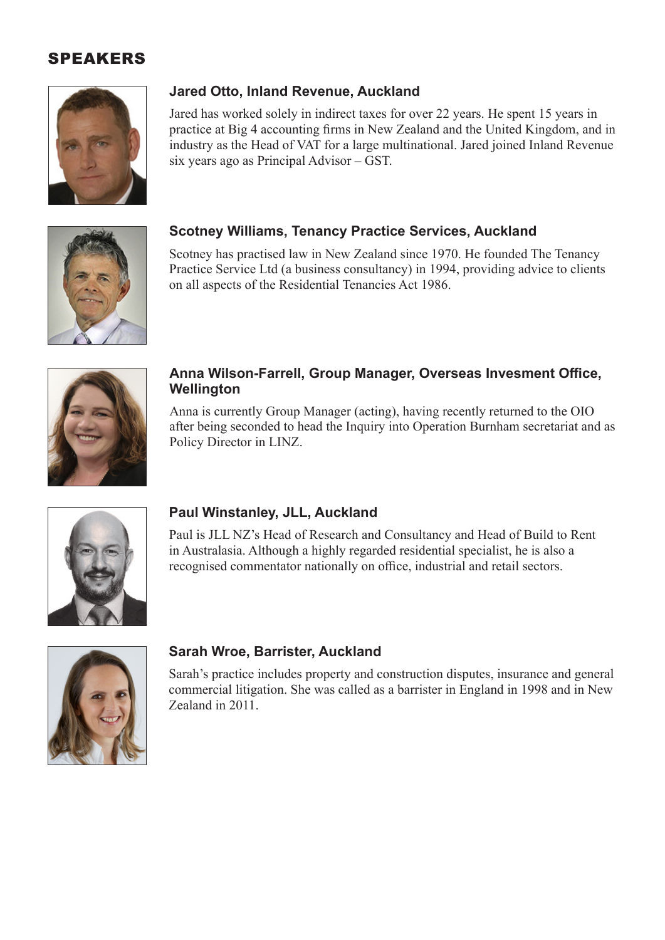

#### **Jared Otto, Inland Revenue, Auckland**

Jared has worked solely in indirect taxes for over 22 years. He spent 15 years in practice at Big 4 accounting firms in New Zealand and the United Kingdom, and in industry as the Head of VAT for a large multinational. Jared joined Inland Revenue six years ago as Principal Advisor – GST.



#### **Scotney Williams, Tenancy Practice Services, Auckland**

Scotney has practised law in New Zealand since 1970. He founded The Tenancy Practice Service Ltd (a business consultancy) in 1994, providing advice to clients on all aspects of the Residential Tenancies Act 1986.



#### **Anna Wilson-Farrell, Group Manager, Overseas Invesment Office, Wellington**

Anna is currently Group Manager (acting), having recently returned to the OIO after being seconded to head the Inquiry into Operation Burnham secretariat and as Policy Director in LINZ.



## **Paul Winstanley, JLL, Auckland**

Paul is JLL NZ's Head of Research and Consultancy and Head of Build to Rent in Australasia. Although a highly regarded residential specialist, he is also a recognised commentator nationally on office, industrial and retail sectors.



#### **Sarah Wroe, Barrister, Auckland**

Sarah's practice includes property and construction disputes, insurance and general commercial litigation. She was called as a barrister in England in 1998 and in New Zealand in 2011.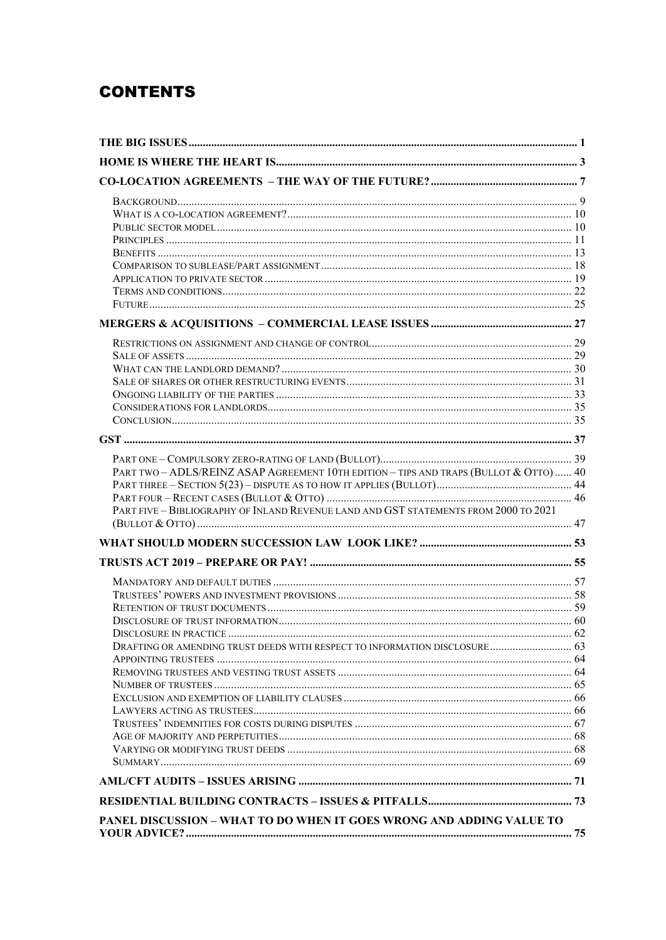# **CONTENTS**

| PART TWO - ADLS/REINZ ASAP AGREEMENT 10TH EDITION - TIPS AND TRAPS (BULLOT & OTTO)  40 |  |
|----------------------------------------------------------------------------------------|--|
|                                                                                        |  |
|                                                                                        |  |
| PART FIVE - BIBLIOGRAPHY OF INLAND REVENUE LAND AND GST STATEMENTS FROM 2000 TO 2021   |  |
|                                                                                        |  |
|                                                                                        |  |
|                                                                                        |  |
|                                                                                        |  |
|                                                                                        |  |
|                                                                                        |  |
|                                                                                        |  |
|                                                                                        |  |
| DRAFTING OR AMENDING TRUST DEEDS WITH RESPECT TO INFORMATION DISCLOSURE  63            |  |
|                                                                                        |  |
|                                                                                        |  |
|                                                                                        |  |
|                                                                                        |  |
|                                                                                        |  |
|                                                                                        |  |
|                                                                                        |  |
|                                                                                        |  |
|                                                                                        |  |
|                                                                                        |  |
|                                                                                        |  |
| PANEL DISCUSSION - WHAT TO DO WHEN IT GOES WRONG AND ADDING VALUE TO                   |  |